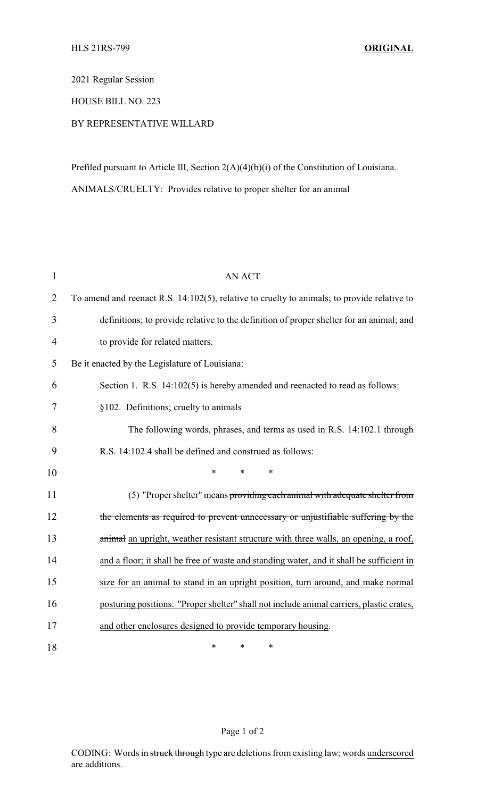2021 Regular Session

HOUSE BILL NO. 223

## BY REPRESENTATIVE WILLARD

Prefiled pursuant to Article III, Section 2(A)(4)(b)(i) of the Constitution of Louisiana. ANIMALS/CRUELTY: Provides relative to proper shelter for an animal

| $\mathbf{1}$   | <b>AN ACT</b>                                                                               |
|----------------|---------------------------------------------------------------------------------------------|
| $\overline{2}$ | To amend and reenact R.S. 14:102(5), relative to cruelty to animals; to provide relative to |
| 3              | definitions; to provide relative to the definition of proper shelter for an animal; and     |
| 4              | to provide for related matters.                                                             |
| 5              | Be it enacted by the Legislature of Louisiana:                                              |
| 6              | Section 1. R.S. 14:102(5) is hereby amended and reenacted to read as follows:               |
| 7              | §102. Definitions; cruelty to animals                                                       |
| 8              | The following words, phrases, and terms as used in R.S. 14:102.1 through                    |
| 9              | R.S. 14:102.4 shall be defined and construed as follows:                                    |
| 10             | $\ast$<br>$\ast$<br>$\ast$                                                                  |
| 11             | (5) "Proper shelter" means providing each animal with adequate shelter from                 |
| 12             | the elements as required to prevent unnecessary or unjustifiable suffering by the           |
| 13             | animal an upright, weather resistant structure with three walls, an opening, a roof,        |
| 14             | and a floor; it shall be free of waste and standing water, and it shall be sufficient in    |
| 15             | size for an animal to stand in an upright position, turn around, and make normal            |
| 16             | posturing positions. "Proper shelter" shall not include animal carriers, plastic crates,    |
| 17             | and other enclosures designed to provide temporary housing.                                 |
| 18             | $\ast$<br>$\ast$<br>$\ast$                                                                  |

## Page 1 of 2